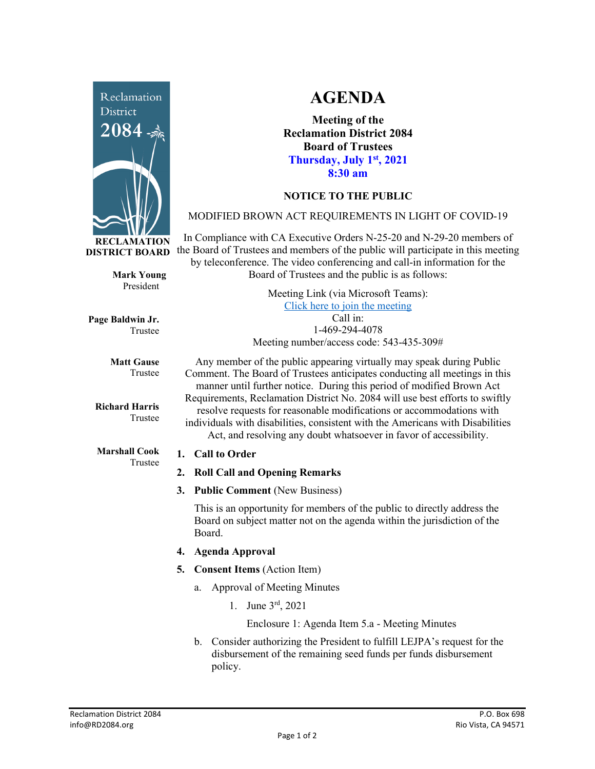

**RECLAMATION DISTRICT BOARD**

> **Mark Young** President

**Page Baldwin Jr.** Trustee

> **Matt Gause** Trustee

**Richard Harris** Trustee

**Marshall Cook** Trustee

# **AGENDA**

**Meeting of the Reclamation District 2084 Board of Trustees Thursday, July 1st, 2021 8:30 am**

## **NOTICE TO THE PUBLIC**

## MODIFIED BROWN ACT REQUIREMENTS IN LIGHT OF COVID-19

In Compliance with CA Executive Orders N-25-20 and N-29-20 members of the Board of Trustees and members of the public will participate in this meeting by teleconference. The video conferencing and call-in information for the Board of Trustees and the public is as follows:

> Meeting Link (via Microsoft Teams): [Click here to join the meeting](https://teams.microsoft.com/l/meetup-join/19%3ameeting_Y2UyNWRiYzQtYWY2Mi00MTlhLWI0NDQtMjUzYzk0OWU0NGFi%40thread.v2/0?context=%7b%22Tid%22%3a%22f9038203-c87c-4f0e-b326-970a381acd40%22%2c%22Oid%22%3a%22b6a515a8-4d0a-410e-b81a-1dc60ae8c01d%22%7d) Call in: 1-469-294-4078 Meeting number/access code: 543-435-309#

Any member of the public appearing virtually may speak during Public Comment. The Board of Trustees anticipates conducting all meetings in this manner until further notice. During this period of modified Brown Act Requirements, Reclamation District No. 2084 will use best efforts to swiftly resolve requests for reasonable modifications or accommodations with individuals with disabilities, consistent with the Americans with Disabilities Act, and resolving any doubt whatsoever in favor of accessibility.

### **1. Call to Order**

- **2. Roll Call and Opening Remarks**
- **3. Public Comment** (New Business)

This is an opportunity for members of the public to directly address the Board on subject matter not on the agenda within the jurisdiction of the Board.

- **4. Agenda Approval**
- **5. Consent Items** (Action Item)
	- a. Approval of Meeting Minutes
		- 1. June 3rd, 2021

Enclosure 1: Agenda Item 5.a - Meeting Minutes

b. Consider authorizing the President to fulfill LEJPA's request for the disbursement of the remaining seed funds per funds disbursement policy.